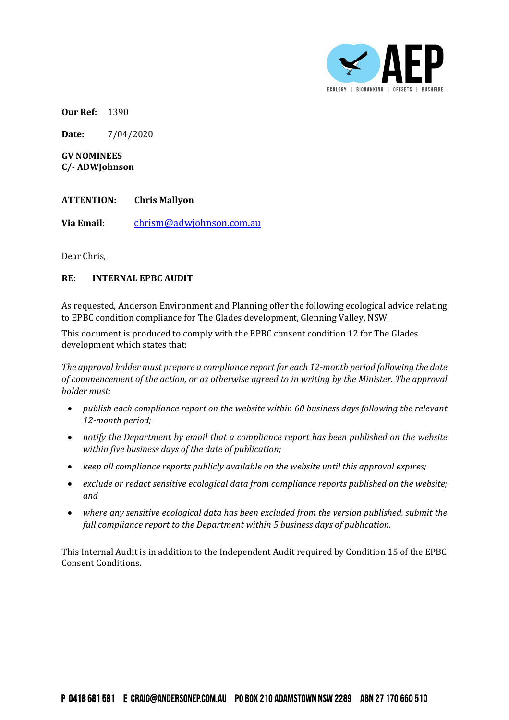

**Our Ref:** 1390

**Date:** 7/04/2020

**GV NOMINEES C/- ADWJohnson**

## **ATTENTION: Chris Mallyon**

**Via Email:** [chrism@adwjohnson.com.au](mailto:chrism@adwjohnson.com.au)

Dear Chris,

## **RE: INTERNAL EPBC AUDIT**

As requested, Anderson Environment and Planning offer the following ecological advice relating to EPBC condition compliance for The Glades development, Glenning Valley, NSW.

This document is produced to comply with the EPBC consent condition 12 for The Glades development which states that:

*The approval holder must prepare a compliance report for each 12-month period following the date of commencement of the action, or as otherwise agreed to in writing by the Minister. The approval holder must:*

- *publish each compliance report on the website within 60 business days following the relevant 12-month period;*
- *notify the Department by email that a compliance report has been published on the website within five business days of the date of publication;*
- *keep all compliance reports publicly available on the website until this approval expires;*
- *exclude or redact sensitive ecological data from compliance reports published on the website; and*
- *where any sensitive ecological data has been excluded from the version published, submit the full compliance report to the Department within 5 business days of publication.*

This Internal Audit is in addition to the Independent Audit required by Condition 15 of the EPBC Consent Conditions.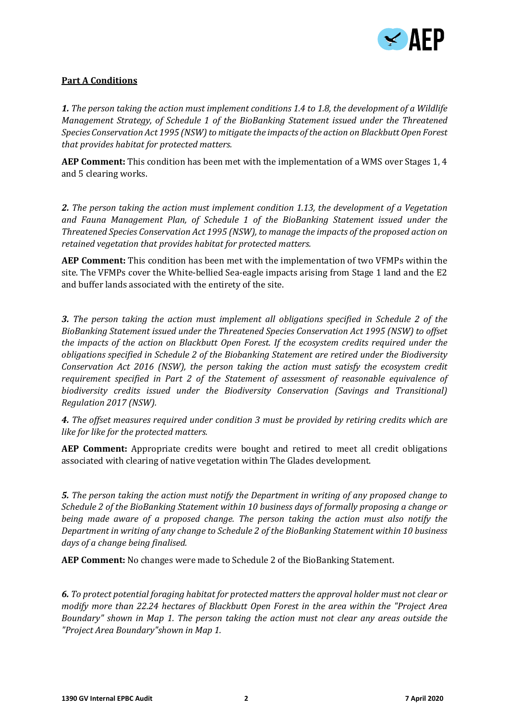

# **Part A Conditions**

*1. The person taking the action must implement conditions 1.4 to 1.8, the development of a Wildlife Management Strategy, of Schedule 1 of the BioBanking Statement issued under the Threatened Species Conservation Act 1995 (NSW) to mitigate the impacts of the action on Blackbutt Open Forest that provides habitat for protected matters.*

**AEP Comment:** This condition has been met with the implementation of a WMS over Stages 1, 4 and 5 clearing works.

*2. The person taking the action must implement condition 1.13, the development of a Vegetation and Fauna Management Plan, of Schedule 1 of the BioBanking Statement issued under the Threatened Species Conservation Act 1995 (NSW), to manage the impacts of the proposed action on retained vegetation that provides habitat for protected matters.*

**AEP Comment:** This condition has been met with the implementation of two VFMPs within the site. The VFMPs cover the White-bellied Sea-eagle impacts arising from Stage 1 land and the E2 and buffer lands associated with the entirety of the site.

*3. The person taking the action must implement all obligations specified in Schedule 2 of the BioBanking Statement issued under the Threatened Species Conservation Act 1995 (NSW) to offset the impacts of the action on Blackbutt Open Forest. If the ecosystem credits required under the obligations specified in Schedule 2 of the Biobanking Statement are retired under the Biodiversity Conservation Act 2016 (NSW), the person taking the action must satisfy the ecosystem credit requirement specified in Part 2 of the Statement of assessment of reasonable equivalence of biodiversity credits issued under the Biodiversity Conservation (Savings and Transitional) Regulation 2017 (NSW).*

*4. The offset measures required under condition 3 must be provided by retiring credits which are like for like for the protected matters.*

**AEP Comment:** Appropriate credits were bought and retired to meet all credit obligations associated with clearing of native vegetation within The Glades development.

*5. The person taking the action must notify the Department in writing of any proposed change to Schedule 2 of the BioBanking Statement within 10 business days of formally proposing a change or being made aware of a proposed change. The person taking the action must also notify the Department in writing of any change to Schedule 2 of the BioBanking Statement within 10 business days of a change being finalised.*

**AEP Comment:** No changes were made to Schedule 2 of the BioBanking Statement.

*6. To protect potential foraging habitat for protected matters the approval holder must not clear or modify more than 22.24 hectares of Blackbutt Open Forest in the area within the "Project Area Boundary" shown in Map 1. The person taking the action must not clear any areas outside the "Project Area Boundary"shown in Map 1.*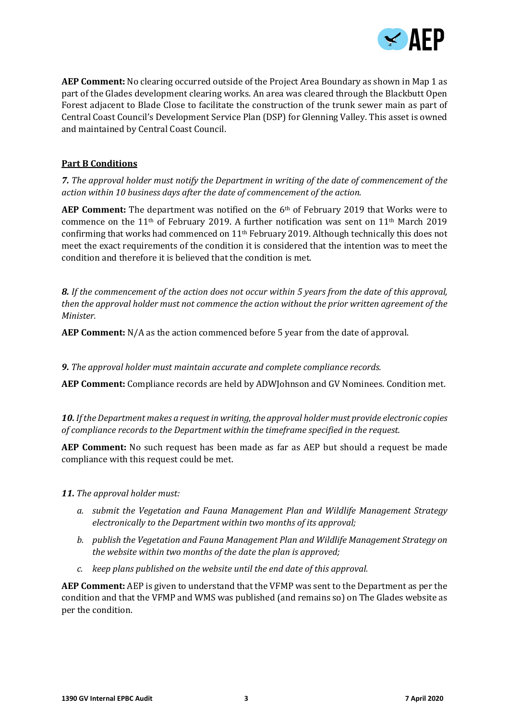

**AEP Comment:** No clearing occurred outside of the Project Area Boundary as shown in Map 1 as part of the Glades development clearing works. An area was cleared through the Blackbutt Open Forest adjacent to Blade Close to facilitate the construction of the trunk sewer main as part of Central Coast Council's Development Service Plan (DSP) for Glenning Valley. This asset is owned and maintained by Central Coast Council.

### **Part B Conditions**

*7. The approval holder must notify the Department in writing of the date of commencement of the action within 10 business days after the date of commencement of the action.*

**AEP Comment:** The department was notified on the 6th of February 2019 that Works were to commence on the 11<sup>th</sup> of February 2019. A further notification was sent on 11<sup>th</sup> March 2019 confirming that works had commenced on  $11<sup>th</sup>$  February 2019. Although technically this does not meet the exact requirements of the condition it is considered that the intention was to meet the condition and therefore it is believed that the condition is met.

*8. If the commencement of the action does not occur within 5 years from the date of this approval, then the approval holder must not commence the action without the prior written agreement of the Minister.*

**AEP Comment:** N/A as the action commenced before 5 year from the date of approval.

*9. The approval holder must maintain accurate and complete compliance records.*

**AEP Comment:** Compliance records are held by ADWJohnson and GV Nominees. Condition met.

*10. If the Department makes a request in writing, the approval holder must provide electronic copies of compliance records to the Department within the timeframe specified in the request.*

**AEP Comment:** No such request has been made as far as AEP but should a request be made compliance with this request could be met.

#### *11. The approval holder must:*

- *a. submit the Vegetation and Fauna Management Plan and Wildlife Management Strategy electronically to the Department within two months of its approval;*
- *b. publish the Vegetation and Fauna Management Plan and Wildlife Management Strategy on the website within two months of the date the plan is approved;*
- *c. keep plans published on the website until the end date of this approval.*

**AEP Comment:** AEP is given to understand that the VFMP was sent to the Department as per the condition and that the VFMP and WMS was published (and remains so) on The Glades website as per the condition.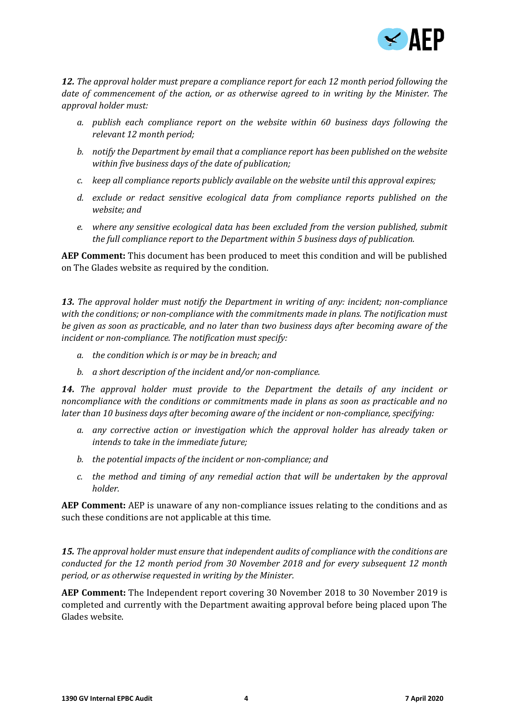

*12. The approval holder must prepare a compliance report for each 12 month period following the date of commencement of the action, or as otherwise agreed to in writing by the Minister. The approval holder must:*

- *a. publish each compliance report on the website within 60 business days following the relevant 12 month period;*
- *b. notify the Department by email that a compliance report has been published on the website within five business days of the date of publication;*
- *c. keep all compliance reports publicly available on the website until this approval expires;*
- *d. exclude or redact sensitive ecological data from compliance reports published on the website; and*
- *e. where any sensitive ecological data has been excluded from the version published, submit the full compliance report to the Department within 5 business days of publication.*

**AEP Comment:** This document has been produced to meet this condition and will be published on The Glades website as required by the condition.

*13. The approval holder must notify the Department in writing of any: incident; non-compliance with the conditions; or non-compliance with the commitments made in plans. The notification must be given as soon as practicable, and no later than two business days after becoming aware of the incident or non-compliance. The notification must specify:*

- *a. the condition which is or may be in breach; and*
- *b. a short description of the incident and/or non-compliance.*

*14. The approval holder must provide to the Department the details of any incident or noncompliance with the conditions or commitments made in plans as soon as practicable and no later than 10 business days after becoming aware of the incident or non-compliance, specifying:*

- *a. any corrective action or investigation which the approval holder has already taken or intends to take in the immediate future;*
- *b. the potential impacts of the incident or non-compliance; and*
- *c. the method and timing of any remedial action that will be undertaken by the approval holder.*

**AEP Comment:** AEP is unaware of any non-compliance issues relating to the conditions and as such these conditions are not applicable at this time.

*15. The approval holder must ensure that independent audits of compliance with the conditions are conducted for the 12 month period from 30 November 2018 and for every subsequent 12 month period, or as otherwise requested in writing by the Minister.*

**AEP Comment:** The Independent report covering 30 November 2018 to 30 November 2019 is completed and currently with the Department awaiting approval before being placed upon The Glades website.